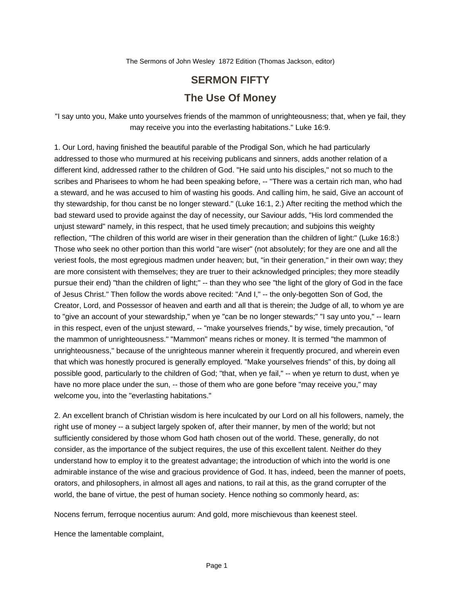The Sermons of John Wesley 1872 Edition (Thomas Jackson, editor)

## **SERMON FIFTY The Use Of Money**

"I say unto you, Make unto yourselves friends of the mammon of unrighteousness; that, when ye fail, they may receive you into the everlasting habitations." Luke 16:9.

1. Our Lord, having finished the beautiful parable of the Prodigal Son, which he had particularly addressed to those who murmured at his receiving publicans and sinners, adds another relation of a different kind, addressed rather to the children of God. "He said unto his disciples," not so much to the scribes and Pharisees to whom he had been speaking before, -- "There was a certain rich man, who had a steward, and he was accused to him of wasting his goods. And calling him, he said, Give an account of thy stewardship, for thou canst be no longer steward." (Luke 16:1, 2.) After reciting the method which the bad steward used to provide against the day of necessity, our Saviour adds, "His lord commended the unjust steward" namely, in this respect, that he used timely precaution; and subjoins this weighty reflection, "The children of this world are wiser in their generation than the children of light:" (Luke 16:8:) Those who seek no other portion than this world "are wiser" (not absolutely; for they are one and all the veriest fools, the most egregious madmen under heaven; but, "in their generation," in their own way; they are more consistent with themselves; they are truer to their acknowledged principles; they more steadily pursue their end) "than the children of light;" -- than they who see "the light of the glory of God in the face of Jesus Christ." Then follow the words above recited: "And I," -- the only-begotten Son of God, the Creator, Lord, and Possessor of heaven and earth and all that is therein; the Judge of all, to whom ye are to "give an account of your stewardship," when ye "can be no longer stewards;" "I say unto you," -- learn in this respect, even of the unjust steward, -- "make yourselves friends," by wise, timely precaution, "of the mammon of unrighteousness." "Mammon" means riches or money. It is termed "the mammon of unrighteousness," because of the unrighteous manner wherein it frequently procured, and wherein even that which was honestly procured is generally employed. "Make yourselves friends" of this, by doing all possible good, particularly to the children of God; "that, when ye fail," -- when ye return to dust, when ye have no more place under the sun, -- those of them who are gone before "may receive you," may welcome you, into the "everlasting habitations."

2. An excellent branch of Christian wisdom is here inculcated by our Lord on all his followers, namely, the right use of money -- a subject largely spoken of, after their manner, by men of the world; but not sufficiently considered by those whom God hath chosen out of the world. These, generally, do not consider, as the importance of the subject requires, the use of this excellent talent. Neither do they understand how to employ it to the greatest advantage; the introduction of which into the world is one admirable instance of the wise and gracious providence of God. It has, indeed, been the manner of poets, orators, and philosophers, in almost all ages and nations, to rail at this, as the grand corrupter of the world, the bane of virtue, the pest of human society. Hence nothing so commonly heard, as:

Nocens ferrum, ferroque nocentius aurum: And gold, more mischievous than keenest steel.

Hence the lamentable complaint,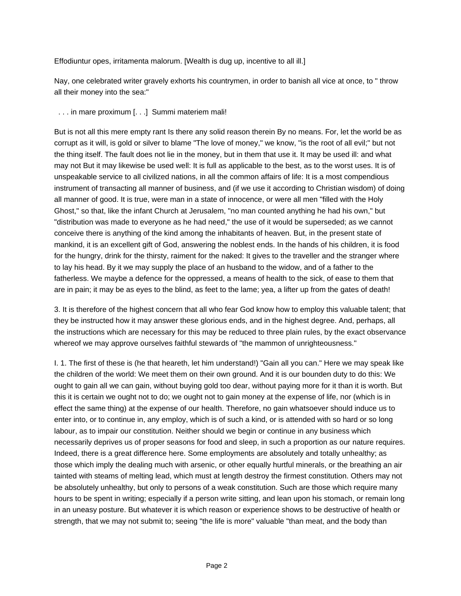Effodiuntur opes, irritamenta malorum. [Wealth is dug up, incentive to all ill.]

Nay, one celebrated writer gravely exhorts his countrymen, in order to banish all vice at once, to " throw all their money into the sea:"

. . . in mare proximum [. . .] Summi materiem mali!

But is not all this mere empty rant Is there any solid reason therein By no means. For, let the world be as corrupt as it will, is gold or silver to blame "The love of money," we know, "is the root of all evil;" but not the thing itself. The fault does not lie in the money, but in them that use it. It may be used ill: and what may not But it may likewise be used well: It is full as applicable to the best, as to the worst uses. It is of unspeakable service to all civilized nations, in all the common affairs of life: It is a most compendious instrument of transacting all manner of business, and (if we use it according to Christian wisdom) of doing all manner of good. It is true, were man in a state of innocence, or were all men "filled with the Holy Ghost," so that, like the infant Church at Jerusalem, "no man counted anything he had his own," but "distribution was made to everyone as he had need," the use of it would be superseded; as we cannot conceive there is anything of the kind among the inhabitants of heaven. But, in the present state of mankind, it is an excellent gift of God, answering the noblest ends. In the hands of his children, it is food for the hungry, drink for the thirsty, raiment for the naked: It gives to the traveller and the stranger where to lay his head. By it we may supply the place of an husband to the widow, and of a father to the fatherless. We maybe a defence for the oppressed, a means of health to the sick, of ease to them that are in pain; it may be as eyes to the blind, as feet to the lame; yea, a lifter up from the gates of death!

3. It is therefore of the highest concern that all who fear God know how to employ this valuable talent; that they be instructed how it may answer these glorious ends, and in the highest degree. And, perhaps, all the instructions which are necessary for this may be reduced to three plain rules, by the exact observance whereof we may approve ourselves faithful stewards of "the mammon of unrighteousness."

I. 1. The first of these is (he that heareth, let him understand!) "Gain all you can." Here we may speak like the children of the world: We meet them on their own ground. And it is our bounden duty to do this: We ought to gain all we can gain, without buying gold too dear, without paying more for it than it is worth. But this it is certain we ought not to do; we ought not to gain money at the expense of life, nor (which is in effect the same thing) at the expense of our health. Therefore, no gain whatsoever should induce us to enter into, or to continue in, any employ, which is of such a kind, or is attended with so hard or so long labour, as to impair our constitution. Neither should we begin or continue in any business which necessarily deprives us of proper seasons for food and sleep, in such a proportion as our nature requires. Indeed, there is a great difference here. Some employments are absolutely and totally unhealthy; as those which imply the dealing much with arsenic, or other equally hurtful minerals, or the breathing an air tainted with steams of melting lead, which must at length destroy the firmest constitution. Others may not be absolutely unhealthy, but only to persons of a weak constitution. Such are those which require many hours to be spent in writing; especially if a person write sitting, and lean upon his stomach, or remain long in an uneasy posture. But whatever it is which reason or experience shows to be destructive of health or strength, that we may not submit to; seeing "the life is more" valuable "than meat, and the body than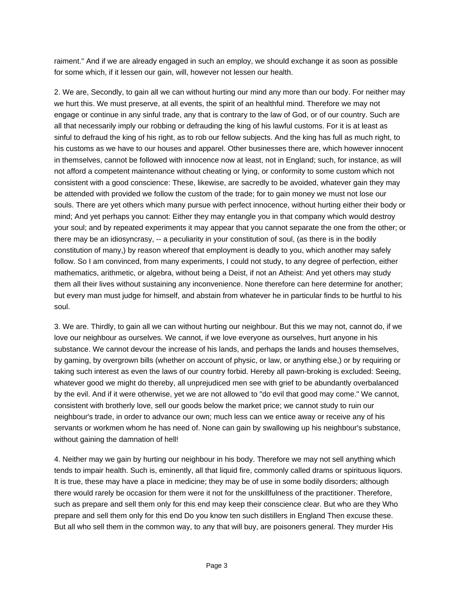raiment." And if we are already engaged in such an employ, we should exchange it as soon as possible for some which, if it lessen our gain, will, however not lessen our health.

2. We are, Secondly, to gain all we can without hurting our mind any more than our body. For neither may we hurt this. We must preserve, at all events, the spirit of an healthful mind. Therefore we may not engage or continue in any sinful trade, any that is contrary to the law of God, or of our country. Such are all that necessarily imply our robbing or defrauding the king of his lawful customs. For it is at least as sinful to defraud the king of his right, as to rob our fellow subjects. And the king has full as much right, to his customs as we have to our houses and apparel. Other businesses there are, which however innocent in themselves, cannot be followed with innocence now at least, not in England; such, for instance, as will not afford a competent maintenance without cheating or lying, or conformity to some custom which not consistent with a good conscience: These, likewise, are sacredly to be avoided, whatever gain they may be attended with provided we follow the custom of the trade; for to gain money we must not lose our souls. There are yet others which many pursue with perfect innocence, without hurting either their body or mind; And yet perhaps you cannot: Either they may entangle you in that company which would destroy your soul; and by repeated experiments it may appear that you cannot separate the one from the other; or there may be an idiosyncrasy, -- a peculiarity in your constitution of soul, (as there is in the bodily constitution of many,) by reason whereof that employment is deadly to you, which another may safely follow. So I am convinced, from many experiments, I could not study, to any degree of perfection, either mathematics, arithmetic, or algebra, without being a Deist, if not an Atheist: And yet others may study them all their lives without sustaining any inconvenience. None therefore can here determine for another; but every man must judge for himself, and abstain from whatever he in particular finds to be hurtful to his soul.

3. We are. Thirdly, to gain all we can without hurting our neighbour. But this we may not, cannot do, if we love our neighbour as ourselves. We cannot, if we love everyone as ourselves, hurt anyone in his substance. We cannot devour the increase of his lands, and perhaps the lands and houses themselves, by gaming, by overgrown bills (whether on account of physic, or law, or anything else,) or by requiring or taking such interest as even the laws of our country forbid. Hereby all pawn-broking is excluded: Seeing, whatever good we might do thereby, all unprejudiced men see with grief to be abundantly overbalanced by the evil. And if it were otherwise, yet we are not allowed to "do evil that good may come." We cannot, consistent with brotherly love, sell our goods below the market price; we cannot study to ruin our neighbour's trade, in order to advance our own; much less can we entice away or receive any of his servants or workmen whom he has need of. None can gain by swallowing up his neighbour's substance, without gaining the damnation of hell!

4. Neither may we gain by hurting our neighbour in his body. Therefore we may not sell anything which tends to impair health. Such is, eminently, all that liquid fire, commonly called drams or spirituous liquors. It is true, these may have a place in medicine; they may be of use in some bodily disorders; although there would rarely be occasion for them were it not for the unskillfulness of the practitioner. Therefore, such as prepare and sell them only for this end may keep their conscience clear. But who are they Who prepare and sell them only for this end Do you know ten such distillers in England Then excuse these. But all who sell them in the common way, to any that will buy, are poisoners general. They murder His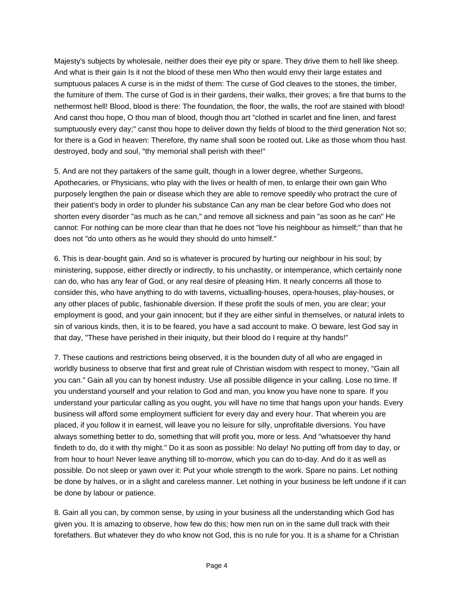Majesty's subjects by wholesale, neither does their eye pity or spare. They drive them to hell like sheep. And what is their gain Is it not the blood of these men Who then would envy their large estates and sumptuous palaces A curse is in the midst of them: The curse of God cleaves to the stones, the timber, the furniture of them. The curse of God is in their gardens, their walks, their groves; a fire that burns to the nethermost hell! Blood, blood is there: The foundation, the floor, the walls, the roof are stained with blood! And canst thou hope, O thou man of blood, though thou art "clothed in scarlet and fine linen, and farest sumptuously every day;" canst thou hope to deliver down thy fields of blood to the third generation Not so; for there is a God in heaven: Therefore, thy name shall soon be rooted out. Like as those whom thou hast destroyed, body and soul, "thy memorial shall perish with thee!"

5. And are not they partakers of the same guilt, though in a lower degree, whether Surgeons, Apothecaries, or Physicians, who play with the lives or health of men, to enlarge their own gain Who purposely lengthen the pain or disease which they are able to remove speedily who protract the cure of their patient's body in order to plunder his substance Can any man be clear before God who does not shorten every disorder "as much as he can," and remove all sickness and pain "as soon as he can" He cannot: For nothing can be more clear than that he does not "love his neighbour as himself;" than that he does not "do unto others as he would they should do unto himself."

6. This is dear-bought gain. And so is whatever is procured by hurting our neighbour in his soul; by ministering, suppose, either directly or indirectly, to his unchastity, or intemperance, which certainly none can do, who has any fear of God, or any real desire of pleasing Him. It nearly concerns all those to consider this, who have anything to do with taverns, victualling-houses, opera-houses, play-houses, or any other places of public, fashionable diversion. If these profit the souls of men, you are clear; your employment is good, and your gain innocent; but if they are either sinful in themselves, or natural inlets to sin of various kinds, then, it is to be feared, you have a sad account to make. O beware, lest God say in that day, "These have perished in their iniquity, but their blood do I require at thy hands!"

7. These cautions and restrictions being observed, it is the bounden duty of all who are engaged in worldly business to observe that first and great rule of Christian wisdom with respect to money, "Gain all you can." Gain all you can by honest industry. Use all possible diligence in your calling. Lose no time. If you understand yourself and your relation to God and man, you know you have none to spare. If you understand your particular calling as you ought, you will have no time that hangs upon your hands. Every business will afford some employment sufficient for every day and every hour. That wherein you are placed, if you follow it in earnest, will leave you no leisure for silly, unprofitable diversions. You have always something better to do, something that will profit you, more or less. And "whatsoever thy hand findeth to do, do it with thy might." Do it as soon as possible: No delay! No putting off from day to day, or from hour to hour! Never leave anything till to-morrow, which you can do to-day. And do it as well as possible. Do not sleep or yawn over it: Put your whole strength to the work. Spare no pains. Let nothing be done by halves, or in a slight and careless manner. Let nothing in your business be left undone if it can be done by labour or patience.

8. Gain all you can, by common sense, by using in your business all the understanding which God has given you. It is amazing to observe, how few do this; how men run on in the same dull track with their forefathers. But whatever they do who know not God, this is no rule for you. It is a shame for a Christian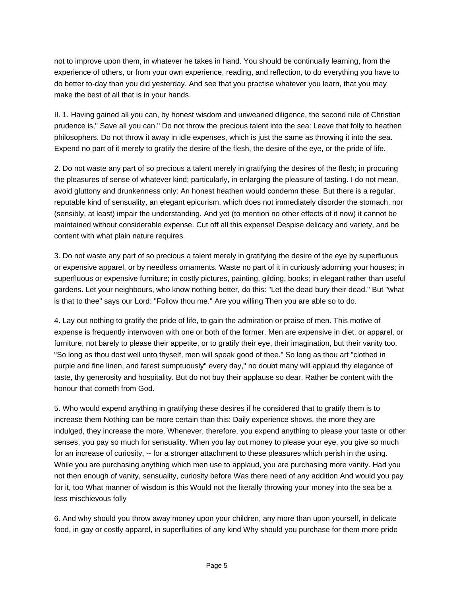not to improve upon them, in whatever he takes in hand. You should be continually learning, from the experience of others, or from your own experience, reading, and reflection, to do everything you have to do better to-day than you did yesterday. And see that you practise whatever you learn, that you may make the best of all that is in your hands.

II. 1. Having gained all you can, by honest wisdom and unwearied diligence, the second rule of Christian prudence is," Save all you can." Do not throw the precious talent into the sea: Leave that folly to heathen philosophers. Do not throw it away in idle expenses, which is just the same as throwing it into the sea. Expend no part of it merely to gratify the desire of the flesh, the desire of the eye, or the pride of life.

2. Do not waste any part of so precious a talent merely in gratifying the desires of the flesh; in procuring the pleasures of sense of whatever kind; particularly, in enlarging the pleasure of tasting. I do not mean, avoid gluttony and drunkenness only: An honest heathen would condemn these. But there is a regular, reputable kind of sensuality, an elegant epicurism, which does not immediately disorder the stomach, nor (sensibly, at least) impair the understanding. And yet (to mention no other effects of it now) it cannot be maintained without considerable expense. Cut off all this expense! Despise delicacy and variety, and be content with what plain nature requires.

3. Do not waste any part of so precious a talent merely in gratifying the desire of the eye by superfluous or expensive apparel, or by needless ornaments. Waste no part of it in curiously adorning your houses; in superfluous or expensive furniture; in costly pictures, painting, gilding, books; in elegant rather than useful gardens. Let your neighbours, who know nothing better, do this: "Let the dead bury their dead." But "what is that to thee" says our Lord: "Follow thou me." Are you willing Then you are able so to do.

4. Lay out nothing to gratify the pride of life, to gain the admiration or praise of men. This motive of expense is frequently interwoven with one or both of the former. Men are expensive in diet, or apparel, or furniture, not barely to please their appetite, or to gratify their eye, their imagination, but their vanity too. "So long as thou dost well unto thyself, men will speak good of thee." So long as thou art "clothed in purple and fine linen, and farest sumptuously" every day," no doubt many will applaud thy elegance of taste, thy generosity and hospitality. But do not buy their applause so dear. Rather be content with the honour that cometh from God.

5. Who would expend anything in gratifying these desires if he considered that to gratify them is to increase them Nothing can be more certain than this: Daily experience shows, the more they are indulged, they increase the more. Whenever, therefore, you expend anything to please your taste or other senses, you pay so much for sensuality. When you lay out money to please your eye, you give so much for an increase of curiosity, -- for a stronger attachment to these pleasures which perish in the using. While you are purchasing anything which men use to applaud, you are purchasing more vanity. Had you not then enough of vanity, sensuality, curiosity before Was there need of any addition And would you pay for it, too What manner of wisdom is this Would not the literally throwing your money into the sea be a less mischievous folly

6. And why should you throw away money upon your children, any more than upon yourself, in delicate food, in gay or costly apparel, in superfluities of any kind Why should you purchase for them more pride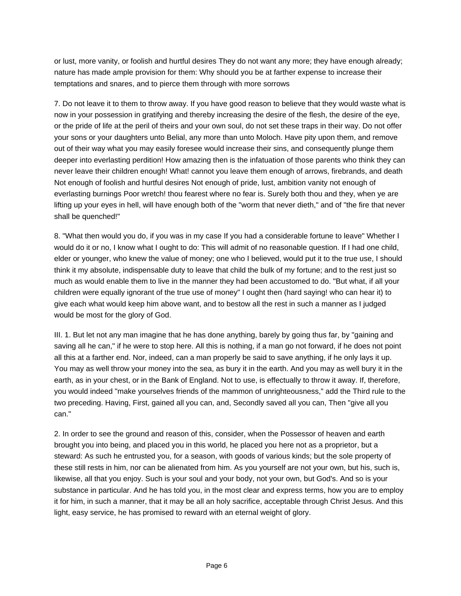or lust, more vanity, or foolish and hurtful desires They do not want any more; they have enough already; nature has made ample provision for them: Why should you be at farther expense to increase their temptations and snares, and to pierce them through with more sorrows

7. Do not leave it to them to throw away. If you have good reason to believe that they would waste what is now in your possession in gratifying and thereby increasing the desire of the flesh, the desire of the eye, or the pride of life at the peril of theirs and your own soul, do not set these traps in their way. Do not offer your sons or your daughters unto Belial, any more than unto Moloch. Have pity upon them, and remove out of their way what you may easily foresee would increase their sins, and consequently plunge them deeper into everlasting perdition! How amazing then is the infatuation of those parents who think they can never leave their children enough! What! cannot you leave them enough of arrows, firebrands, and death Not enough of foolish and hurtful desires Not enough of pride, lust, ambition vanity not enough of everlasting burnings Poor wretch! thou fearest where no fear is. Surely both thou and they, when ye are lifting up your eyes in hell, will have enough both of the "worm that never dieth," and of "the fire that never shall be quenched!"

8. "What then would you do, if you was in my case If you had a considerable fortune to leave" Whether I would do it or no, I know what I ought to do: This will admit of no reasonable question. If I had one child, elder or younger, who knew the value of money; one who I believed, would put it to the true use, I should think it my absolute, indispensable duty to leave that child the bulk of my fortune; and to the rest just so much as would enable them to live in the manner they had been accustomed to do. "But what, if all your children were equally ignorant of the true use of money" I ought then (hard saying! who can hear it) to give each what would keep him above want, and to bestow all the rest in such a manner as I judged would be most for the glory of God.

III. 1. But let not any man imagine that he has done anything, barely by going thus far, by "gaining and saving all he can," if he were to stop here. All this is nothing, if a man go not forward, if he does not point all this at a farther end. Nor, indeed, can a man properly be said to save anything, if he only lays it up. You may as well throw your money into the sea, as bury it in the earth. And you may as well bury it in the earth, as in your chest, or in the Bank of England. Not to use, is effectually to throw it away. If, therefore, you would indeed "make yourselves friends of the mammon of unrighteousness," add the Third rule to the two preceding. Having, First, gained all you can, and, Secondly saved all you can, Then "give all you can."

2. In order to see the ground and reason of this, consider, when the Possessor of heaven and earth brought you into being, and placed you in this world, he placed you here not as a proprietor, but a steward: As such he entrusted you, for a season, with goods of various kinds; but the sole property of these still rests in him, nor can be alienated from him. As you yourself are not your own, but his, such is, likewise, all that you enjoy. Such is your soul and your body, not your own, but God's. And so is your substance in particular. And he has told you, in the most clear and express terms, how you are to employ it for him, in such a manner, that it may be all an holy sacrifice, acceptable through Christ Jesus. And this light, easy service, he has promised to reward with an eternal weight of glory.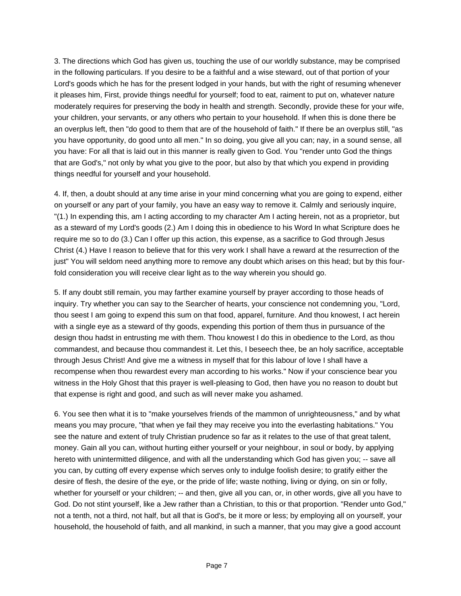3. The directions which God has given us, touching the use of our worldly substance, may be comprised in the following particulars. If you desire to be a faithful and a wise steward, out of that portion of your Lord's goods which he has for the present lodged in your hands, but with the right of resuming whenever it pleases him, First, provide things needful for yourself; food to eat, raiment to put on, whatever nature moderately requires for preserving the body in health and strength. Secondly, provide these for your wife, your children, your servants, or any others who pertain to your household. If when this is done there be an overplus left, then "do good to them that are of the household of faith." If there be an overplus still, "as you have opportunity, do good unto all men." In so doing, you give all you can; nay, in a sound sense, all you have: For all that is laid out in this manner is really given to God. You "render unto God the things that are God's," not only by what you give to the poor, but also by that which you expend in providing things needful for yourself and your household.

4. If, then, a doubt should at any time arise in your mind concerning what you are going to expend, either on yourself or any part of your family, you have an easy way to remove it. Calmly and seriously inquire, "(1.) In expending this, am I acting according to my character Am I acting herein, not as a proprietor, but as a steward of my Lord's goods (2.) Am I doing this in obedience to his Word In what Scripture does he require me so to do (3.) Can I offer up this action, this expense, as a sacrifice to God through Jesus Christ (4.) Have I reason to believe that for this very work I shall have a reward at the resurrection of the just" You will seldom need anything more to remove any doubt which arises on this head; but by this fourfold consideration you will receive clear light as to the way wherein you should go.

5. If any doubt still remain, you may farther examine yourself by prayer according to those heads of inquiry. Try whether you can say to the Searcher of hearts, your conscience not condemning you, "Lord, thou seest I am going to expend this sum on that food, apparel, furniture. And thou knowest, I act herein with a single eye as a steward of thy goods, expending this portion of them thus in pursuance of the design thou hadst in entrusting me with them. Thou knowest I do this in obedience to the Lord, as thou commandest, and because thou commandest it. Let this, I beseech thee, be an holy sacrifice, acceptable through Jesus Christ! And give me a witness in myself that for this labour of love I shall have a recompense when thou rewardest every man according to his works." Now if your conscience bear you witness in the Holy Ghost that this prayer is well-pleasing to God, then have you no reason to doubt but that expense is right and good, and such as will never make you ashamed.

6. You see then what it is to "make yourselves friends of the mammon of unrighteousness," and by what means you may procure, "that when ye fail they may receive you into the everlasting habitations." You see the nature and extent of truly Christian prudence so far as it relates to the use of that great talent, money. Gain all you can, without hurting either yourself or your neighbour, in soul or body, by applying hereto with unintermitted diligence, and with all the understanding which God has given you; -- save all you can, by cutting off every expense which serves only to indulge foolish desire; to gratify either the desire of flesh, the desire of the eye, or the pride of life; waste nothing, living or dying, on sin or folly, whether for yourself or your children; -- and then, give all you can, or, in other words, give all you have to God. Do not stint yourself, like a Jew rather than a Christian, to this or that proportion. "Render unto God," not a tenth, not a third, not half, but all that is God's, be it more or less; by employing all on yourself, your household, the household of faith, and all mankind, in such a manner, that you may give a good account